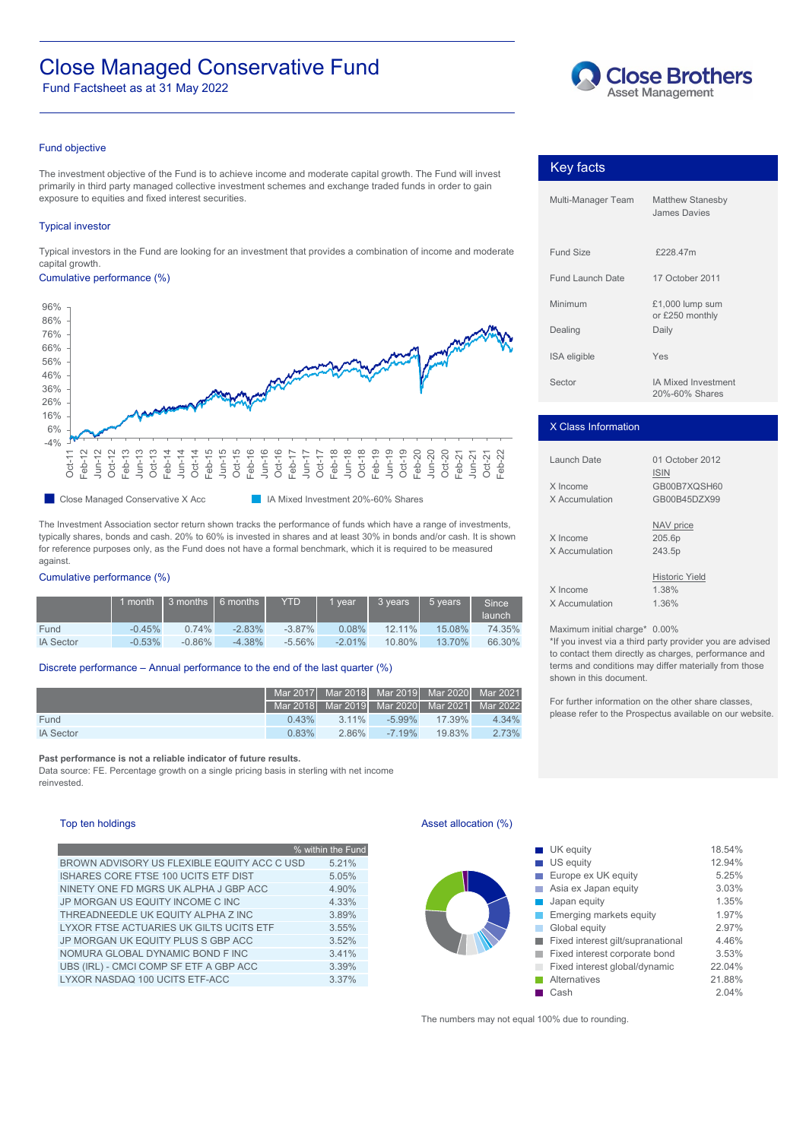# Close Managed Conservative Fund

Fund Factsheet as at 31 May 2022



# Fund objective

The investment objective of the Fund is to achieve income and moderate capital growth. The Fund will invest primarily in third party managed collective investment schemes and exchange traded funds in order to gain exposure to equities and fixed interest securities.

# Typical investor

Typical investors in the Fund are looking for an investment that provides a combination of income and moderate capital growth.

# Cumulative performance (%)



Close Managed Conservative X Acc IA Mixed Investment 20%-60% Shares

The Investment Association sector return shown tracks the performance of funds which have a range of investments, typically shares, bonds and cash. 20% to 60% is invested in shares and at least 30% in bonds and/or cash. It is shown for reference purposes only, as the Fund does not have a formal benchmark, which it is required to be measured against.

### Cumulative performance (%)

|                  |          |          | 1 month 3 months 6 months | <b>YTD</b> | 1 year    | 3 years | 5 years | Since <sup>1</sup><br>$\lambda$ launch | .36%<br>X Accumulation              |
|------------------|----------|----------|---------------------------|------------|-----------|---------|---------|----------------------------------------|-------------------------------------|
| Fund             | $-0.45%$ | 0.74%    | $-2.83%$                  | $-3.87\%$  | 0.08%     | 12.11%  | 15.08%  | 74.35%                                 | Maximum initial charge* 0.00%       |
| <b>IA Sector</b> | $-0.53%$ | $-0.86%$ | $-4.38%$                  | $-5.56\%$  | $-2.01\%$ | 10.80%  | 13.70%  | 66.30%                                 | *If you invest via a third party pr |

### Discrete performance – Annual performance to the end of the last quarter (%)

|                  |       |          | Mar 2017 Mar 2018 Mar 2019 Mar 2020 Mar 2021                        |                  |       |
|------------------|-------|----------|---------------------------------------------------------------------|------------------|-------|
|                  |       |          | <sup>1</sup> Mar 2018 Ⅰ Mar 2019 Ⅰ Mar 2020 Ⅰ Mar 2021 Ⅰ Mar 2022 Ⅰ |                  |       |
| Fund             | 0.43% | $3.11\%$ |                                                                     | $-5.99\%$ 17.39% | 4.34% |
| <b>IA Sector</b> | 0.83% | 2.86%    | $-7.19\%$                                                           | 19.83%           | 2.73% |

**Past performance is not a reliable indicator of future results.**

Data source: FE. Percentage growth on a single pricing basis in sterling with net income reinvested.

# Top ten holdings

|                                             | % within the Fund |
|---------------------------------------------|-------------------|
| BROWN ADVISORY US FLEXIBLE EQUITY ACC C USD | 5.21%             |
| <b>ISHARES CORE FTSE 100 UCITS ETF DIST</b> | 5.05%             |
| NINETY ONE FD MGRS UK ALPHA J GBP ACC       | 4.90%             |
| JP MORGAN US EQUITY INCOME C INC            | 4.33%             |
| THREADNEEDLE UK EQUITY ALPHA Z INC          | 3.89%             |
| LYXOR FTSE ACTUARIES UK GILTS UCITS ETF     | $3.55\%$          |
| JP MORGAN UK EQUITY PLUS S GBP ACC          | 3.52%             |
| NOMURA GLOBAL DYNAMIC BOND F INC            | 3.41%             |
| UBS (IRL) - CMCI COMP SF ETF A GBP ACC      | 3.39%             |
| LYXOR NASDAQ 100 UCITS ETF-ACC              | 3.37%             |

Key facts

| <b>Fund Launch Date</b> | 17 October 2011                              |
|-------------------------|----------------------------------------------|
| Minimum                 | $£1,000$ lump sum<br>or £250 monthly         |
| Dealing                 | Daily                                        |
| <b>ISA</b> eligible     | Yes                                          |
| Sector                  | <b>IA Mixed Investment</b><br>20%-60% Shares |

Multi-Manager Team Matthew Stanesby

Fund Size £228.47m

James Davies

# X Class Information

| Launch Date                | 01 October 2012<br><b>ISIN</b>          |
|----------------------------|-----------------------------------------|
| X Income<br>X Accumulation | GB00B7XQSH60<br>GB00B45DZX99            |
| X Income<br>X Accumulation | NAV price<br>205.6p<br>243.5p           |
| X Income<br>X Accumulation | <b>Historic Yield</b><br>1.38%<br>1.36% |

\*If you invest via a third party provider you are advised to contact them directly as charges, performance and terms and conditions may differ materially from those shown in this document.

For further information on the other share classes, please refer to the Prospectus available on our website.

# Asset allocation (%)

| US equity<br>5.21%<br>Europe ex UK equity<br>5.05%<br>Asia ex Japan equity<br>4.90%<br>Japan equity<br>4.33%<br>Emerging markets equity<br>3.89%<br>3.55%<br>Global equity<br>Fixed interest gilt/supranational<br>3.52%<br>Fixed interest corporate bond<br>3.41%<br>in a |
|----------------------------------------------------------------------------------------------------------------------------------------------------------------------------------------------------------------------------------------------------------------------------|
|                                                                                                                                                                                                                                                                            |
|                                                                                                                                                                                                                                                                            |
|                                                                                                                                                                                                                                                                            |
|                                                                                                                                                                                                                                                                            |
|                                                                                                                                                                                                                                                                            |
|                                                                                                                                                                                                                                                                            |
|                                                                                                                                                                                                                                                                            |
|                                                                                                                                                                                                                                                                            |
| Fixed interest global/dynamic<br>3.39%                                                                                                                                                                                                                                     |
| 3.37%<br><b>Alternatives</b>                                                                                                                                                                                                                                               |
| Cash                                                                                                                                                                                                                                                                       |

The numbers may not equal 100% due to rounding.